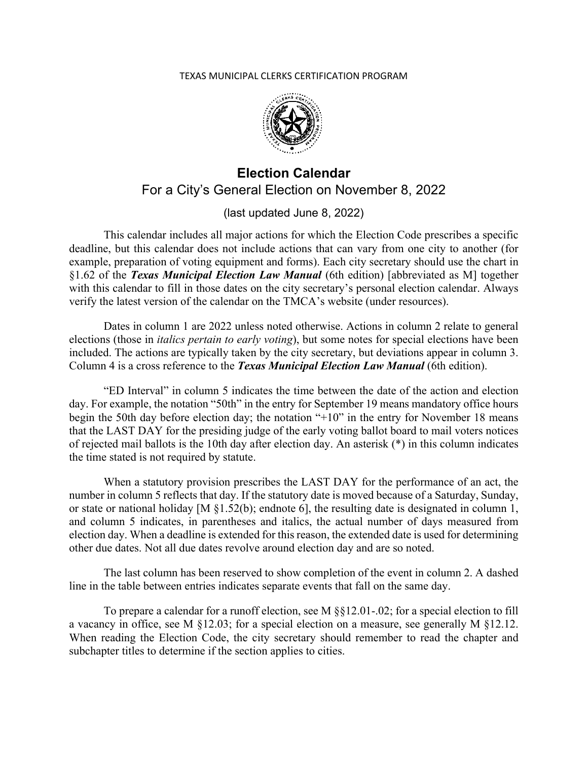## TEXAS MUNICIPAL CLERKS CERTIFICATION PROGRAM



## **Election Calendar**  For a City's General Election on November 8, 2022

(last updated June 8, 2022)

This calendar includes all major actions for which the Election Code prescribes a specific deadline, but this calendar does not include actions that can vary from one city to another (for example, preparation of voting equipment and forms). Each city secretary should use the chart in §1.62 of the *Texas Municipal Election Law Manual* (6th edition) [abbreviated as M] together with this calendar to fill in those dates on the city secretary's personal election calendar. Always verify the latest version of the calendar on the TMCA's website (under resources).

Dates in column 1 are 2022 unless noted otherwise. Actions in column 2 relate to general elections (those in *italics pertain to early voting*), but some notes for special elections have been included. The actions are typically taken by the city secretary, but deviations appear in column 3. Column 4 is a cross reference to the *Texas Municipal Election Law Manual* (6th edition).

"ED Interval" in column 5 indicates the time between the date of the action and election day. For example, the notation "50th" in the entry for September 19 means mandatory office hours begin the 50th day before election day; the notation "+10" in the entry for November 18 means that the LAST DAY for the presiding judge of the early voting ballot board to mail voters notices of rejected mail ballots is the 10th day after election day. An asterisk (\*) in this column indicates the time stated is not required by statute.

When a statutory provision prescribes the LAST DAY for the performance of an act, the number in column 5 reflects that day. If the statutory date is moved because of a Saturday, Sunday, or state or national holiday [M §1.52(b); endnote 6], the resulting date is designated in column 1, and column 5 indicates, in parentheses and italics, the actual number of days measured from election day. When a deadline is extended for this reason, the extended date is used for determining other due dates. Not all due dates revolve around election day and are so noted.

The last column has been reserved to show completion of the event in column 2. A dashed line in the table between entries indicates separate events that fall on the same day.

To prepare a calendar for a runoff election, see M §§12.01-.02; for a special election to fill a vacancy in office, see M §12.03; for a special election on a measure, see generally M §12.12. When reading the Election Code, the city secretary should remember to read the chapter and subchapter titles to determine if the section applies to cities.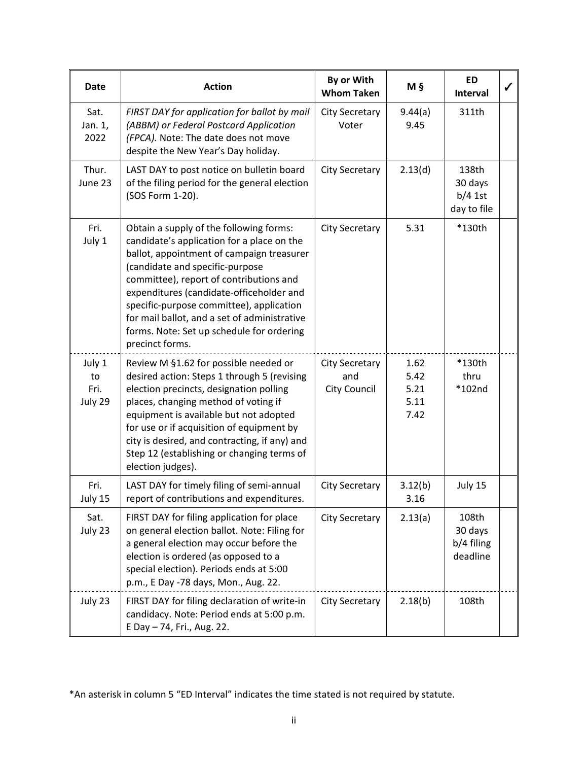| Date                            | <b>Action</b>                                                                                                                                                                                                                                                                                                                                                                                                            | By or With<br><b>Whom Taken</b>              | M §                                  | <b>ED</b><br><b>Interval</b>                 | ✔ |
|---------------------------------|--------------------------------------------------------------------------------------------------------------------------------------------------------------------------------------------------------------------------------------------------------------------------------------------------------------------------------------------------------------------------------------------------------------------------|----------------------------------------------|--------------------------------------|----------------------------------------------|---|
| Sat.<br>Jan. 1,<br>2022         | FIRST DAY for application for ballot by mail<br>(ABBM) or Federal Postcard Application<br>(FPCA). Note: The date does not move<br>despite the New Year's Day holiday.                                                                                                                                                                                                                                                    | <b>City Secretary</b><br>Voter               | 9.44(a)<br>9.45                      | 311th                                        |   |
| Thur.<br>June 23                | LAST DAY to post notice on bulletin board<br>of the filing period for the general election<br>(SOS Form 1-20).                                                                                                                                                                                                                                                                                                           | <b>City Secretary</b>                        | 2.13(d)                              | 138th<br>30 days<br>$b/4$ 1st<br>day to file |   |
| Fri.<br>July 1                  | Obtain a supply of the following forms:<br>candidate's application for a place on the<br>ballot, appointment of campaign treasurer<br>(candidate and specific-purpose<br>committee), report of contributions and<br>expenditures (candidate-officeholder and<br>specific-purpose committee), application<br>for mail ballot, and a set of administrative<br>forms. Note: Set up schedule for ordering<br>precinct forms. | <b>City Secretary</b>                        | 5.31                                 | *130th                                       |   |
| July 1<br>to<br>Fri.<br>July 29 | Review M §1.62 for possible needed or<br>desired action: Steps 1 through 5 (revising<br>election precincts, designation polling<br>places, changing method of voting if<br>equipment is available but not adopted<br>for use or if acquisition of equipment by<br>city is desired, and contracting, if any) and<br>Step 12 (establishing or changing terms of<br>election judges).                                       | <b>City Secretary</b><br>and<br>City Council | 1.62<br>5.42<br>5.21<br>5.11<br>7.42 | *130th<br>thru<br>*102nd                     |   |
| Fri.<br>July 15                 | LAST DAY for timely filing of semi-annual<br>report of contributions and expenditures.                                                                                                                                                                                                                                                                                                                                   | <b>City Secretary</b>                        | 3.12(b)<br>3.16                      | July 15                                      |   |
| Sat.<br>July 23                 | FIRST DAY for filing application for place<br>on general election ballot. Note: Filing for<br>a general election may occur before the<br>election is ordered (as opposed to a<br>special election). Periods ends at 5:00<br>p.m., E Day -78 days, Mon., Aug. 22.                                                                                                                                                         | <b>City Secretary</b>                        | 2.13(a)                              | 108th<br>30 days<br>b/4 filing<br>deadline   |   |
| July 23                         | FIRST DAY for filing declaration of write-in<br>candidacy. Note: Period ends at 5:00 p.m.<br>E Day - 74, Fri., Aug. 22.                                                                                                                                                                                                                                                                                                  | <b>City Secretary</b>                        | 2.18(b)                              | 108th                                        |   |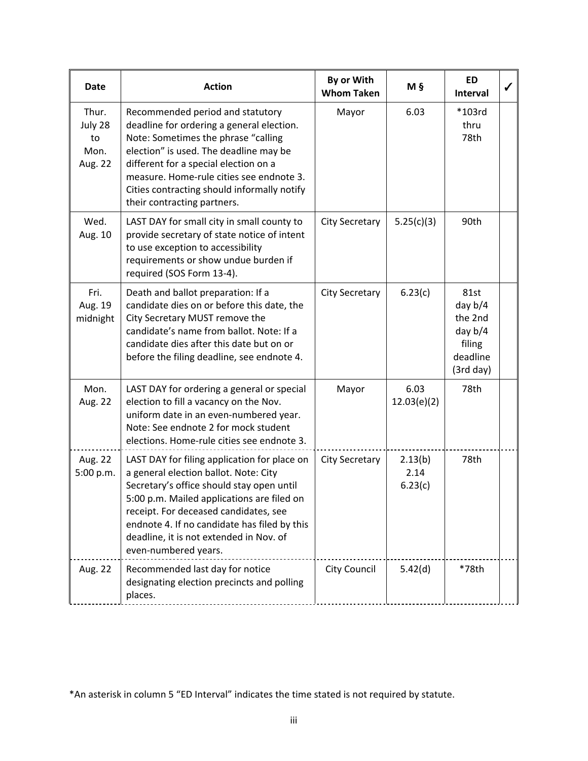| Date                                      | <b>Action</b>                                                                                                                                                                                                                                                                                                                                | By or With<br><b>Whom Taken</b> | Μ§                         | ED<br><b>Interval</b>                                                        |  |
|-------------------------------------------|----------------------------------------------------------------------------------------------------------------------------------------------------------------------------------------------------------------------------------------------------------------------------------------------------------------------------------------------|---------------------------------|----------------------------|------------------------------------------------------------------------------|--|
| Thur.<br>July 28<br>to<br>Mon.<br>Aug. 22 | Recommended period and statutory<br>deadline for ordering a general election.<br>Note: Sometimes the phrase "calling<br>election" is used. The deadline may be<br>different for a special election on a<br>measure. Home-rule cities see endnote 3.<br>Cities contracting should informally notify<br>their contracting partners.            | Mayor                           | 6.03                       | *103rd<br>thru<br>78th                                                       |  |
| Wed.<br>Aug. 10                           | LAST DAY for small city in small county to<br>provide secretary of state notice of intent<br>to use exception to accessibility<br>requirements or show undue burden if<br>required (SOS Form 13-4).                                                                                                                                          | <b>City Secretary</b>           | 5.25(c)(3)                 | 90th                                                                         |  |
| Fri.<br>Aug. 19<br>midnight               | Death and ballot preparation: If a<br>candidate dies on or before this date, the<br>City Secretary MUST remove the<br>candidate's name from ballot. Note: If a<br>candidate dies after this date but on or<br>before the filing deadline, see endnote 4.                                                                                     | <b>City Secretary</b>           | 6.23(c)                    | 81st<br>day $b/4$<br>the 2nd<br>day $b/4$<br>filing<br>deadline<br>(3rd day) |  |
| Mon.<br>Aug. 22                           | LAST DAY for ordering a general or special<br>election to fill a vacancy on the Nov.<br>uniform date in an even-numbered year.<br>Note: See endnote 2 for mock student<br>elections. Home-rule cities see endnote 3.                                                                                                                         | Mayor                           | 6.03<br>12.03(e)(2)        | 78th                                                                         |  |
| Aug. 22<br>5:00 p.m.                      | LAST DAY for filing application for place on<br>a general election ballot. Note: City<br>Secretary's office should stay open until<br>5:00 p.m. Mailed applications are filed on<br>receipt. For deceased candidates, see<br>endnote 4. If no candidate has filed by this<br>deadline, it is not extended in Nov. of<br>even-numbered years. | <b>City Secretary</b>           | 2.13(b)<br>2.14<br>6.23(c) | 78th                                                                         |  |
| Aug. 22                                   | Recommended last day for notice<br>designating election precincts and polling<br>places.                                                                                                                                                                                                                                                     | <b>City Council</b>             | 5.42(d)                    | *78th                                                                        |  |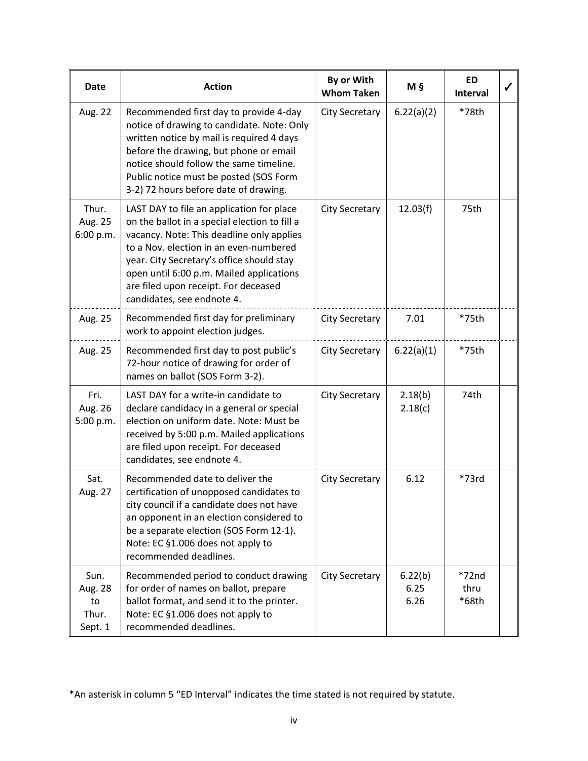| <b>Date</b>                               | <b>Action</b>                                                                                                                                                                                                                                                                                                                                    | By or With<br><b>Whom Taken</b> | Μ§                      | <b>ED</b><br>Interval    |  |
|-------------------------------------------|--------------------------------------------------------------------------------------------------------------------------------------------------------------------------------------------------------------------------------------------------------------------------------------------------------------------------------------------------|---------------------------------|-------------------------|--------------------------|--|
| Aug. 22                                   | Recommended first day to provide 4-day<br>notice of drawing to candidate. Note: Only<br>written notice by mail is required 4 days<br>before the drawing, but phone or email<br>notice should follow the same timeline.<br>Public notice must be posted (SOS Form<br>3-2) 72 hours before date of drawing.                                        | <b>City Secretary</b>           | 6.22(a)(2)              | *78th                    |  |
| Thur.<br>Aug. 25<br>6:00 p.m.             | LAST DAY to file an application for place<br>on the ballot in a special election to fill a<br>vacancy. Note: This deadline only applies<br>to a Nov. election in an even-numbered<br>year. City Secretary's office should stay<br>open until 6:00 p.m. Mailed applications<br>are filed upon receipt. For deceased<br>candidates, see endnote 4. | <b>City Secretary</b>           | 12.03(f)                | 75th                     |  |
| Aug. 25                                   | Recommended first day for preliminary<br>work to appoint election judges.                                                                                                                                                                                                                                                                        | <b>City Secretary</b>           | 7.01                    | *75th                    |  |
| Aug. 25                                   | Recommended first day to post public's<br>72-hour notice of drawing for order of<br>names on ballot (SOS Form 3-2).                                                                                                                                                                                                                              | City Secretary                  | 6.22(a)(1)              | *75th                    |  |
| Fri.<br>Aug. 26<br>5:00 p.m.              | LAST DAY for a write-in candidate to<br>declare candidacy in a general or special<br>election on uniform date. Note: Must be<br>received by 5:00 p.m. Mailed applications<br>are filed upon receipt. For deceased<br>candidates, see endnote 4.                                                                                                  | <b>City Secretary</b>           | 2.18(b)<br>2.18(c)      | 74th                     |  |
| Sat.<br>Aug. 27                           | Recommended date to deliver the<br>certification of unopposed candidates to<br>city council if a candidate does not have<br>an opponent in an election considered to<br>be a separate election (SOS Form 12-1).<br>Note: EC §1.006 does not apply to<br>recommended deadlines.                                                                   | <b>City Secretary</b>           | 6.12                    | $*73rd$                  |  |
| Sun.<br>Aug. 28<br>to<br>Thur.<br>Sept. 1 | Recommended period to conduct drawing<br>for order of names on ballot, prepare<br>ballot format, and send it to the printer.<br>Note: EC §1.006 does not apply to<br>recommended deadlines.                                                                                                                                                      | <b>City Secretary</b>           | 6.22(b)<br>6.25<br>6.26 | $*72nd$<br>thru<br>*68th |  |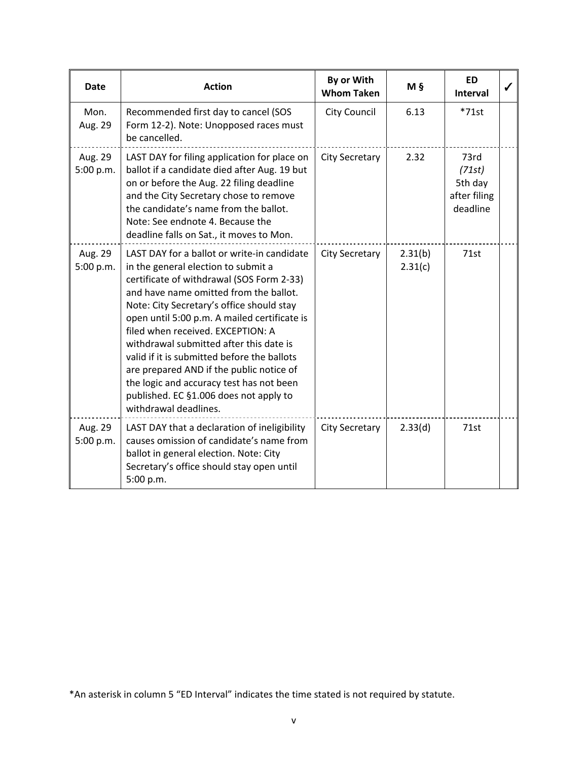| <b>Date</b>          | <b>Action</b>                                                                                                                                                                                                                                                                                                                                                                                                                                                                                                                                                    | By or With<br><b>Whom Taken</b> | Μ§                 | <b>ED</b><br><b>Interval</b>                          |  |
|----------------------|------------------------------------------------------------------------------------------------------------------------------------------------------------------------------------------------------------------------------------------------------------------------------------------------------------------------------------------------------------------------------------------------------------------------------------------------------------------------------------------------------------------------------------------------------------------|---------------------------------|--------------------|-------------------------------------------------------|--|
| Mon.<br>Aug. 29      | Recommended first day to cancel (SOS<br>Form 12-2). Note: Unopposed races must<br>be cancelled.                                                                                                                                                                                                                                                                                                                                                                                                                                                                  | <b>City Council</b>             | 6.13               | $*71st$                                               |  |
| Aug. 29<br>5:00 p.m. | LAST DAY for filing application for place on<br>ballot if a candidate died after Aug. 19 but<br>on or before the Aug. 22 filing deadline<br>and the City Secretary chose to remove<br>the candidate's name from the ballot.<br>Note: See endnote 4. Because the<br>deadline falls on Sat., it moves to Mon.                                                                                                                                                                                                                                                      | <b>City Secretary</b>           | 2.32               | 73rd<br>(71st)<br>5th day<br>after filing<br>deadline |  |
| Aug. 29<br>5:00 p.m. | LAST DAY for a ballot or write-in candidate<br>in the general election to submit a<br>certificate of withdrawal (SOS Form 2-33)<br>and have name omitted from the ballot.<br>Note: City Secretary's office should stay<br>open until 5:00 p.m. A mailed certificate is<br>filed when received. EXCEPTION: A<br>withdrawal submitted after this date is<br>valid if it is submitted before the ballots<br>are prepared AND if the public notice of<br>the logic and accuracy test has not been<br>published. EC §1.006 does not apply to<br>withdrawal deadlines. | <b>City Secretary</b>           | 2.31(b)<br>2.31(c) | 71st                                                  |  |
| Aug. 29<br>5:00 p.m. | LAST DAY that a declaration of ineligibility<br>causes omission of candidate's name from<br>ballot in general election. Note: City<br>Secretary's office should stay open until<br>5:00 p.m.                                                                                                                                                                                                                                                                                                                                                                     | <b>City Secretary</b>           | 2.33(d)            | 71st                                                  |  |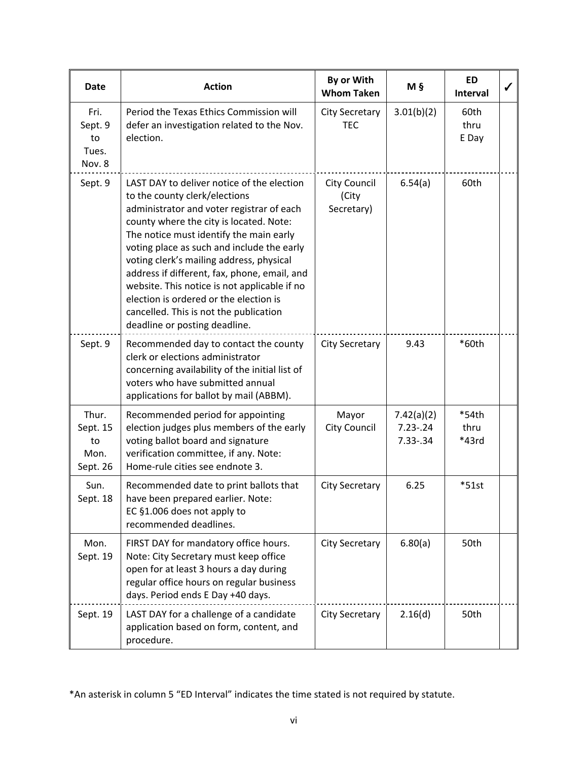| <b>Date</b>                                 | <b>Action</b>                                                                                                                                                                                                                                                                                                                                                                                                                                                                                                                 | By or With<br><b>Whom Taken</b>            | Μ§                                         | <b>ED</b><br><b>Interval</b> | J |
|---------------------------------------------|-------------------------------------------------------------------------------------------------------------------------------------------------------------------------------------------------------------------------------------------------------------------------------------------------------------------------------------------------------------------------------------------------------------------------------------------------------------------------------------------------------------------------------|--------------------------------------------|--------------------------------------------|------------------------------|---|
| Fri.<br>Sept. 9<br>to<br>Tues.<br>Nov. 8    | Period the Texas Ethics Commission will<br>defer an investigation related to the Nov.<br>election.                                                                                                                                                                                                                                                                                                                                                                                                                            | <b>City Secretary</b><br><b>TEC</b>        | 3.01(b)(2)                                 | 60th<br>thru<br>E Day        |   |
| Sept. 9                                     | LAST DAY to deliver notice of the election<br>to the county clerk/elections<br>administrator and voter registrar of each<br>county where the city is located. Note:<br>The notice must identify the main early<br>voting place as such and include the early<br>voting clerk's mailing address, physical<br>address if different, fax, phone, email, and<br>website. This notice is not applicable if no<br>election is ordered or the election is<br>cancelled. This is not the publication<br>deadline or posting deadline. | <b>City Council</b><br>(City<br>Secretary) | 6.54(a)                                    | 60th                         |   |
| Sept. 9                                     | Recommended day to contact the county<br>clerk or elections administrator<br>concerning availability of the initial list of<br>voters who have submitted annual<br>applications for ballot by mail (ABBM).                                                                                                                                                                                                                                                                                                                    | <b>City Secretary</b>                      | 9.43                                       | *60th                        |   |
| Thur.<br>Sept. 15<br>to<br>Mon.<br>Sept. 26 | Recommended period for appointing<br>election judges plus members of the early<br>voting ballot board and signature<br>verification committee, if any. Note:<br>Home-rule cities see endnote 3.                                                                                                                                                                                                                                                                                                                               | Mayor<br><b>City Council</b>               | 7.42(a)(2)<br>$7.23 - .24$<br>$7.33 - .34$ | *54th<br>thru<br>*43rd       |   |
| Sun.<br>Sept. 18                            | Recommended date to print ballots that<br>have been prepared earlier. Note:<br>EC §1.006 does not apply to<br>recommended deadlines.                                                                                                                                                                                                                                                                                                                                                                                          | <b>City Secretary</b>                      | 6.25                                       | $*51st$                      |   |
| Mon.<br>Sept. 19                            | FIRST DAY for mandatory office hours.<br>Note: City Secretary must keep office<br>open for at least 3 hours a day during<br>regular office hours on regular business<br>days. Period ends E Day +40 days.                                                                                                                                                                                                                                                                                                                     | <b>City Secretary</b>                      | 6.80(a)                                    | 50th                         |   |
| Sept. 19                                    | LAST DAY for a challenge of a candidate<br>application based on form, content, and<br>procedure.                                                                                                                                                                                                                                                                                                                                                                                                                              | <b>City Secretary</b>                      | 2.16(d)                                    | 50th                         |   |

<sup>\*</sup>An asterisk in column 5 "ED Interval" indicates the time stated is not required by statute.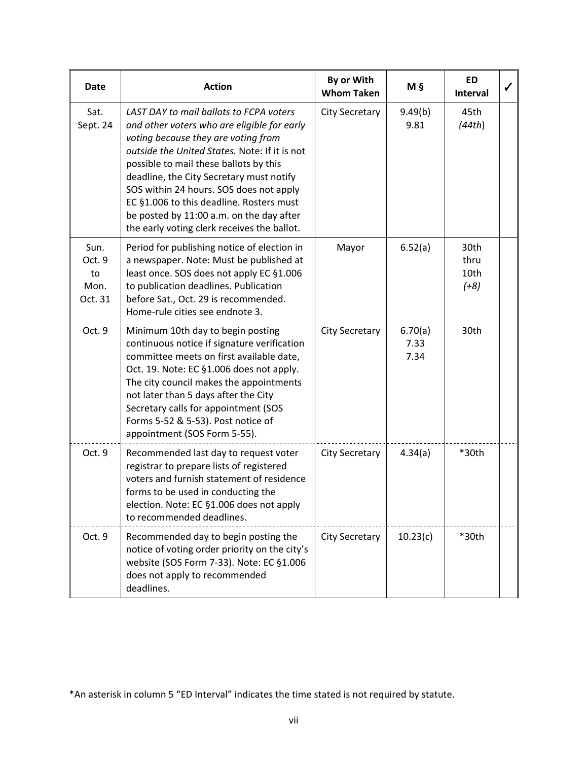| Date                                    | <b>Action</b>                                                                                                                                                                                                                                                                                                                                                                                                                                          | By or With<br><b>Whom Taken</b> | Μ§                      | <b>ED</b><br><b>Interval</b>   |  |
|-----------------------------------------|--------------------------------------------------------------------------------------------------------------------------------------------------------------------------------------------------------------------------------------------------------------------------------------------------------------------------------------------------------------------------------------------------------------------------------------------------------|---------------------------------|-------------------------|--------------------------------|--|
| Sat.<br>Sept. 24                        | LAST DAY to mail ballots to FCPA voters<br>and other voters who are eligible for early<br>voting because they are voting from<br>outside the United States. Note: If it is not<br>possible to mail these ballots by this<br>deadline, the City Secretary must notify<br>SOS within 24 hours. SOS does not apply<br>EC §1.006 to this deadline. Rosters must<br>be posted by 11:00 a.m. on the day after<br>the early voting clerk receives the ballot. | <b>City Secretary</b>           | 9.49(b)<br>9.81         | 45th<br>(44th)                 |  |
| Sun.<br>Oct. 9<br>to<br>Mon.<br>Oct. 31 | Period for publishing notice of election in<br>a newspaper. Note: Must be published at<br>least once. SOS does not apply EC §1.006<br>to publication deadlines. Publication<br>before Sat., Oct. 29 is recommended.<br>Home-rule cities see endnote 3.                                                                                                                                                                                                 | Mayor                           | 6.52(a)                 | 30th<br>thru<br>10th<br>$(+8)$ |  |
| Oct. 9                                  | Minimum 10th day to begin posting<br>continuous notice if signature verification<br>committee meets on first available date,<br>Oct. 19. Note: EC §1.006 does not apply.<br>The city council makes the appointments<br>not later than 5 days after the City<br>Secretary calls for appointment (SOS<br>Forms 5-52 & 5-53). Post notice of<br>appointment (SOS Form 5-55).                                                                              | <b>City Secretary</b>           | 6.70(a)<br>7.33<br>7.34 | 30th                           |  |
| Oct. 9                                  | Recommended last day to request voter<br>registrar to prepare lists of registered<br>voters and furnish statement of residence<br>forms to be used in conducting the<br>election. Note: EC §1.006 does not apply<br>to recommended deadlines.                                                                                                                                                                                                          | <b>City Secretary</b>           | 4.34(a)                 | *30th                          |  |
| Oct. 9                                  | Recommended day to begin posting the<br>notice of voting order priority on the city's<br>website (SOS Form 7-33). Note: EC §1.006<br>does not apply to recommended<br>deadlines.                                                                                                                                                                                                                                                                       | <b>City Secretary</b>           | 10.23(c)                | *30th                          |  |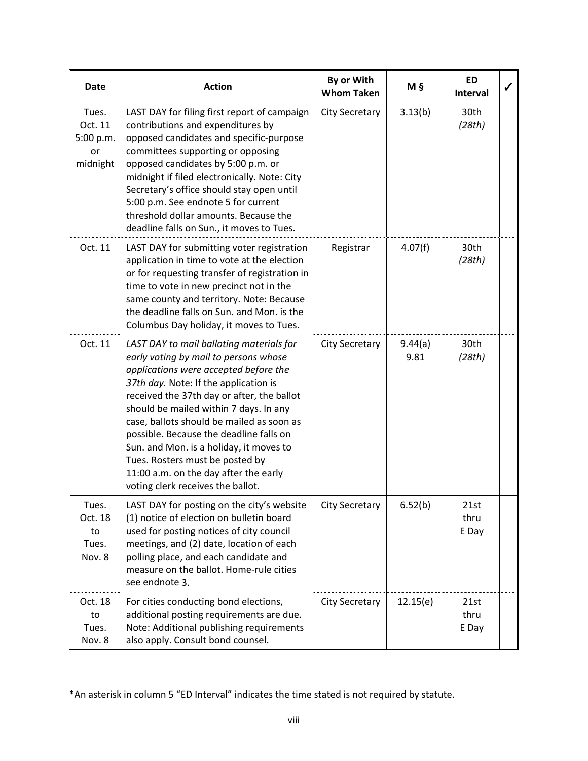| <b>Date</b>                                     | <b>Action</b>                                                                                                                                                                                                                                                                                                                                                                                                                                                                                                   | By or With<br><b>Whom Taken</b> | Μ§              | <b>ED</b><br><b>Interval</b> |  |
|-------------------------------------------------|-----------------------------------------------------------------------------------------------------------------------------------------------------------------------------------------------------------------------------------------------------------------------------------------------------------------------------------------------------------------------------------------------------------------------------------------------------------------------------------------------------------------|---------------------------------|-----------------|------------------------------|--|
| Tues.<br>Oct. 11<br>5:00 p.m.<br>or<br>midnight | LAST DAY for filing first report of campaign<br>contributions and expenditures by<br>opposed candidates and specific-purpose<br>committees supporting or opposing<br>opposed candidates by 5:00 p.m. or<br>midnight if filed electronically. Note: City<br>Secretary's office should stay open until<br>5:00 p.m. See endnote 5 for current<br>threshold dollar amounts. Because the<br>deadline falls on Sun., it moves to Tues.                                                                               | <b>City Secretary</b>           | 3.13(b)         | 30th<br>(28th)               |  |
| Oct. 11                                         | LAST DAY for submitting voter registration<br>application in time to vote at the election<br>or for requesting transfer of registration in<br>time to vote in new precinct not in the<br>same county and territory. Note: Because<br>the deadline falls on Sun. and Mon. is the<br>Columbus Day holiday, it moves to Tues.                                                                                                                                                                                      | Registrar                       | 4.07(f)         | 30th<br>(28th)               |  |
| Oct. 11                                         | LAST DAY to mail balloting materials for<br>early voting by mail to persons whose<br>applications were accepted before the<br>37th day. Note: If the application is<br>received the 37th day or after, the ballot<br>should be mailed within 7 days. In any<br>case, ballots should be mailed as soon as<br>possible. Because the deadline falls on<br>Sun. and Mon. is a holiday, it moves to<br>Tues. Rosters must be posted by<br>11:00 a.m. on the day after the early<br>voting clerk receives the ballot. | <b>City Secretary</b>           | 9.44(a)<br>9.81 | 30th<br>(28th)               |  |
| Tues.<br>Oct. 18<br>to<br>Tues.<br>Nov. 8       | LAST DAY for posting on the city's website<br>(1) notice of election on bulletin board<br>used for posting notices of city council<br>meetings, and (2) date, location of each<br>polling place, and each candidate and<br>measure on the ballot. Home-rule cities<br>see endnote 3.                                                                                                                                                                                                                            | <b>City Secretary</b>           | 6.52(b)         | 21st<br>thru<br>E Day        |  |
| Oct. 18<br>to<br>Tues.<br>Nov. 8                | For cities conducting bond elections,<br>additional posting requirements are due.<br>Note: Additional publishing requirements<br>also apply. Consult bond counsel.                                                                                                                                                                                                                                                                                                                                              | <b>City Secretary</b>           | 12.15(e)        | 21st<br>thru<br>E Day        |  |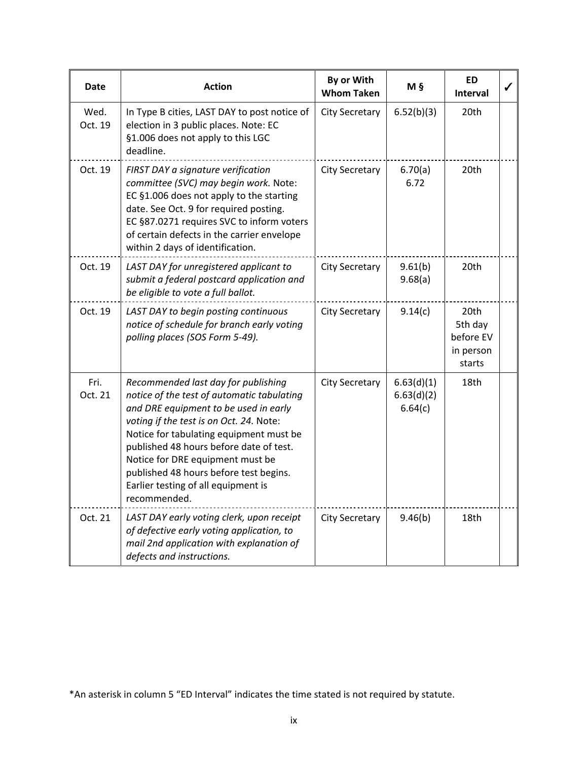| Date            | <b>Action</b>                                                                                                                                                                                                                                                                                                                                                                                    | By or With<br><b>Whom Taken</b> | $M_{\frac{5}{2}}$                   | <b>ED</b><br><b>Interval</b>                        |  |
|-----------------|--------------------------------------------------------------------------------------------------------------------------------------------------------------------------------------------------------------------------------------------------------------------------------------------------------------------------------------------------------------------------------------------------|---------------------------------|-------------------------------------|-----------------------------------------------------|--|
| Wed.<br>Oct. 19 | In Type B cities, LAST DAY to post notice of<br>election in 3 public places. Note: EC<br>§1.006 does not apply to this LGC<br>deadline.                                                                                                                                                                                                                                                          | <b>City Secretary</b>           | 6.52(b)(3)                          | 20th                                                |  |
| Oct. 19         | FIRST DAY a signature verification<br>committee (SVC) may begin work. Note:<br>EC §1.006 does not apply to the starting<br>date. See Oct. 9 for required posting.<br>EC §87.0271 requires SVC to inform voters<br>of certain defects in the carrier envelope<br>within 2 days of identification.                                                                                                 | <b>City Secretary</b>           | 6.70(a)<br>6.72                     | 20th                                                |  |
| Oct. 19         | LAST DAY for unregistered applicant to<br>submit a federal postcard application and<br>be eligible to vote a full ballot.                                                                                                                                                                                                                                                                        | <b>City Secretary</b>           | 9.61(b)<br>9.68(a)                  | 20th                                                |  |
| Oct. 19         | LAST DAY to begin posting continuous<br>notice of schedule for branch early voting<br>polling places (SOS Form 5-49).                                                                                                                                                                                                                                                                            | <b>City Secretary</b>           | 9.14(c)                             | 20th<br>5th day<br>before EV<br>in person<br>starts |  |
| Fri.<br>Oct. 21 | Recommended last day for publishing<br>notice of the test of automatic tabulating<br>and DRE equipment to be used in early<br>voting if the test is on Oct. 24. Note:<br>Notice for tabulating equipment must be<br>published 48 hours before date of test.<br>Notice for DRE equipment must be<br>published 48 hours before test begins.<br>Earlier testing of all equipment is<br>recommended. | <b>City Secretary</b>           | 6.63(d)(1)<br>6.63(d)(2)<br>6.64(c) | 18th                                                |  |
| Oct. 21         | LAST DAY early voting clerk, upon receipt<br>of defective early voting application, to<br>mail 2nd application with explanation of<br>defects and instructions.                                                                                                                                                                                                                                  | <b>City Secretary</b>           | 9.46(b)                             | 18th                                                |  |

<sup>\*</sup>An asterisk in column 5 "ED Interval" indicates the time stated is not required by statute.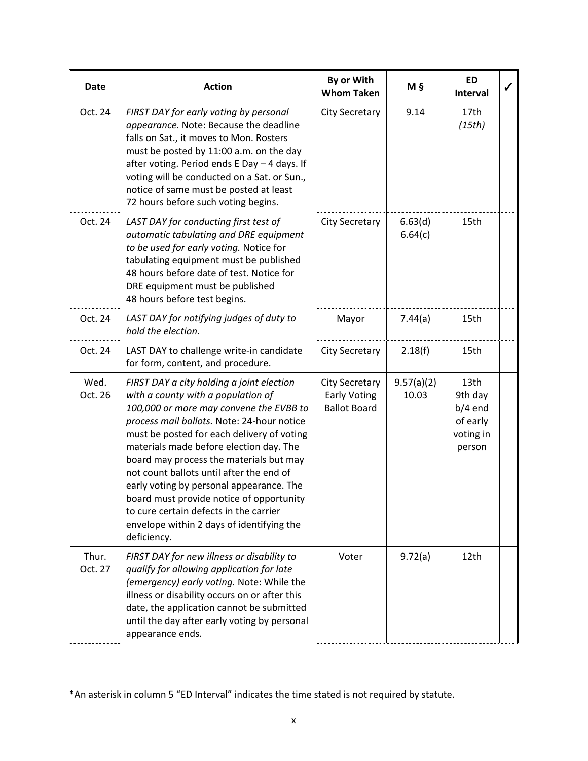| Date             | <b>Action</b>                                                                                                                                                                                                                                                                                                                                                                                                                                                                                                                                          | By or With<br><b>Whom Taken</b>                                     | M §                 | <b>ED</b><br><b>Interval</b>                                    |  |
|------------------|--------------------------------------------------------------------------------------------------------------------------------------------------------------------------------------------------------------------------------------------------------------------------------------------------------------------------------------------------------------------------------------------------------------------------------------------------------------------------------------------------------------------------------------------------------|---------------------------------------------------------------------|---------------------|-----------------------------------------------------------------|--|
| Oct. 24          | FIRST DAY for early voting by personal<br>appearance. Note: Because the deadline<br>falls on Sat., it moves to Mon. Rosters<br>must be posted by 11:00 a.m. on the day<br>after voting. Period ends E Day - 4 days. If<br>voting will be conducted on a Sat. or Sun.,<br>notice of same must be posted at least<br>72 hours before such voting begins.                                                                                                                                                                                                 | <b>City Secretary</b>                                               | 9.14                | 17th<br>(15th)                                                  |  |
| Oct. 24          | LAST DAY for conducting first test of<br>automatic tabulating and DRE equipment<br>to be used for early voting. Notice for<br>tabulating equipment must be published<br>48 hours before date of test. Notice for<br>DRE equipment must be published<br>48 hours before test begins.                                                                                                                                                                                                                                                                    | <b>City Secretary</b>                                               | 6.63(d)<br>6.64(c)  | 15th                                                            |  |
| Oct. 24          | LAST DAY for notifying judges of duty to<br>hold the election.                                                                                                                                                                                                                                                                                                                                                                                                                                                                                         | Mayor                                                               | 7.44(a)             | 15th                                                            |  |
| Oct. 24          | LAST DAY to challenge write-in candidate<br>for form, content, and procedure.                                                                                                                                                                                                                                                                                                                                                                                                                                                                          | <b>City Secretary</b>                                               | 2.18(f)             | 15th                                                            |  |
| Wed.<br>Oct. 26  | FIRST DAY a city holding a joint election<br>with a county with a population of<br>100,000 or more may convene the EVBB to<br>process mail ballots. Note: 24-hour notice<br>must be posted for each delivery of voting<br>materials made before election day. The<br>board may process the materials but may<br>not count ballots until after the end of<br>early voting by personal appearance. The<br>board must provide notice of opportunity<br>to cure certain defects in the carrier<br>envelope within 2 days of identifying the<br>deficiency. | <b>City Secretary</b><br><b>Early Voting</b><br><b>Ballot Board</b> | 9.57(a)(2)<br>10.03 | 13th<br>9th day<br>$b/4$ end<br>of early<br>voting in<br>person |  |
| Thur.<br>Oct. 27 | FIRST DAY for new illness or disability to<br>qualify for allowing application for late<br>(emergency) early voting. Note: While the<br>illness or disability occurs on or after this<br>date, the application cannot be submitted<br>until the day after early voting by personal<br>appearance ends.                                                                                                                                                                                                                                                 | Voter                                                               | 9.72(a)             | 12th                                                            |  |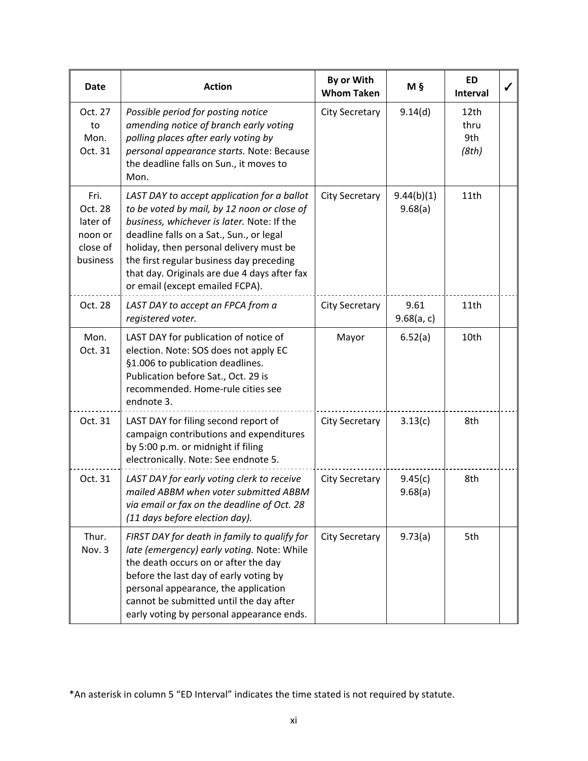| <b>Date</b>                                                    | <b>Action</b>                                                                                                                                                                                                                                                                                                                                                  | By or With<br><b>Whom Taken</b> | M §                   | <b>ED</b><br>Interval        |  |
|----------------------------------------------------------------|----------------------------------------------------------------------------------------------------------------------------------------------------------------------------------------------------------------------------------------------------------------------------------------------------------------------------------------------------------------|---------------------------------|-----------------------|------------------------------|--|
| Oct. 27<br>to<br>Mon.<br>Oct. 31                               | Possible period for posting notice<br>amending notice of branch early voting<br>polling places after early voting by<br>personal appearance starts. Note: Because<br>the deadline falls on Sun., it moves to<br>Mon.                                                                                                                                           | <b>City Secretary</b>           | 9.14(d)               | 12th<br>thru<br>9th<br>(8th) |  |
| Fri.<br>Oct. 28<br>later of<br>noon or<br>close of<br>business | LAST DAY to accept application for a ballot<br>to be voted by mail, by 12 noon or close of<br>business, whichever is later. Note: If the<br>deadline falls on a Sat., Sun., or legal<br>holiday, then personal delivery must be<br>the first regular business day preceding<br>that day. Originals are due 4 days after fax<br>or email (except emailed FCPA). | <b>City Secretary</b>           | 9.44(b)(1)<br>9.68(a) | 11th                         |  |
| Oct. 28                                                        | LAST DAY to accept an FPCA from a<br>registered voter.                                                                                                                                                                                                                                                                                                         | <b>City Secretary</b>           | 9.61<br>9.68(a, c)    | 11th                         |  |
| Mon.<br>Oct. 31                                                | LAST DAY for publication of notice of<br>election. Note: SOS does not apply EC<br>§1.006 to publication deadlines.<br>Publication before Sat., Oct. 29 is<br>recommended. Home-rule cities see<br>endnote 3.                                                                                                                                                   | Mayor                           | 6.52(a)               | 10th                         |  |
| Oct. 31                                                        | LAST DAY for filing second report of<br>campaign contributions and expenditures<br>by 5:00 p.m. or midnight if filing<br>electronically. Note: See endnote 5.                                                                                                                                                                                                  | <b>City Secretary</b>           | 3.13(c)               | 8th                          |  |
| Oct. 31                                                        | LAST DAY for early voting clerk to receive<br>mailed ABBM when voter submitted ABBM<br>via email or fax on the deadline of Oct. 28<br>(11 days before election day).                                                                                                                                                                                           | <b>City Secretary</b>           | 9.45(c)<br>9.68(a)    | 8th                          |  |
| Thur.<br>Nov. 3                                                | FIRST DAY for death in family to qualify for<br>late (emergency) early voting. Note: While<br>the death occurs on or after the day<br>before the last day of early voting by<br>personal appearance, the application<br>cannot be submitted until the day after<br>early voting by personal appearance ends.                                                   | <b>City Secretary</b>           | 9.73(a)               | 5th                          |  |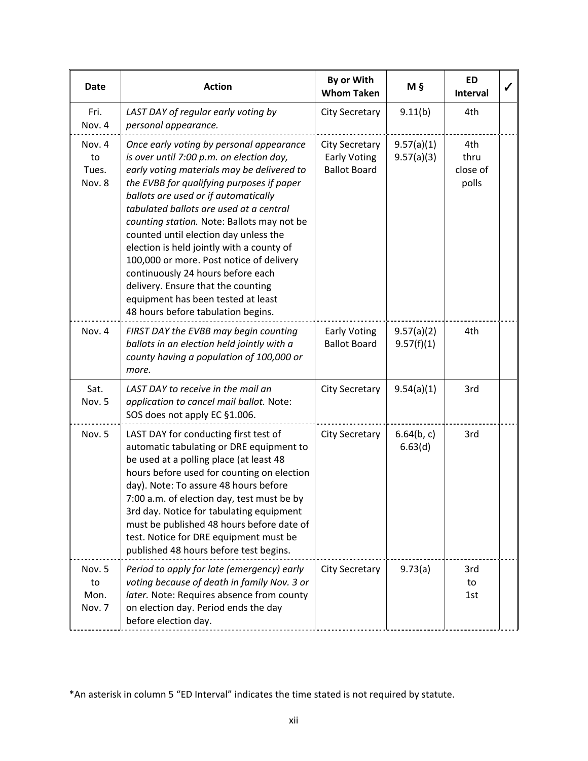| Date                            | <b>Action</b>                                                                                                                                                                                                                                                                                                                                                                                                                                                                                                                                                                                             | By or With<br><b>Whom Taken</b>                                     | M §                      | <b>ED</b><br>Interval            | ✔ |
|---------------------------------|-----------------------------------------------------------------------------------------------------------------------------------------------------------------------------------------------------------------------------------------------------------------------------------------------------------------------------------------------------------------------------------------------------------------------------------------------------------------------------------------------------------------------------------------------------------------------------------------------------------|---------------------------------------------------------------------|--------------------------|----------------------------------|---|
| Fri.<br>Nov. 4                  | LAST DAY of regular early voting by<br>personal appearance.                                                                                                                                                                                                                                                                                                                                                                                                                                                                                                                                               | <b>City Secretary</b>                                               | 9.11(b)                  | 4th                              |   |
| Nov. 4<br>to<br>Tues.<br>Nov. 8 | Once early voting by personal appearance<br>is over until 7:00 p.m. on election day,<br>early voting materials may be delivered to<br>the EVBB for qualifying purposes if paper<br>ballots are used or if automatically<br>tabulated ballots are used at a central<br>counting station. Note: Ballots may not be<br>counted until election day unless the<br>election is held jointly with a county of<br>100,000 or more. Post notice of delivery<br>continuously 24 hours before each<br>delivery. Ensure that the counting<br>equipment has been tested at least<br>48 hours before tabulation begins. | <b>City Secretary</b><br><b>Early Voting</b><br><b>Ballot Board</b> | 9.57(a)(1)<br>9.57(a)(3) | 4th<br>thru<br>close of<br>polls |   |
| Nov. 4                          | FIRST DAY the EVBB may begin counting<br>ballots in an election held jointly with a<br>county having a population of 100,000 or<br>more.                                                                                                                                                                                                                                                                                                                                                                                                                                                                  | <b>Early Voting</b><br><b>Ballot Board</b>                          | 9.57(a)(2)<br>9.57(f)(1) | 4th                              |   |
| Sat.<br>Nov. 5                  | LAST DAY to receive in the mail an<br>application to cancel mail ballot. Note:<br>SOS does not apply EC §1.006.                                                                                                                                                                                                                                                                                                                                                                                                                                                                                           | <b>City Secretary</b>                                               | 9.54(a)(1)               | 3rd                              |   |
| Nov. 5                          | LAST DAY for conducting first test of<br>automatic tabulating or DRE equipment to<br>be used at a polling place (at least 48<br>hours before used for counting on election<br>day). Note: To assure 48 hours before<br>7:00 a.m. of election day, test must be by<br>3rd day. Notice for tabulating equipment<br>must be published 48 hours before date of<br>test. Notice for DRE equipment must be<br>published 48 hours before test begins.                                                                                                                                                            | <b>City Secretary</b>                                               | 6.64(b, c)<br>6.63(d)    | 3rd                              |   |
| Nov. 5<br>to<br>Mon.<br>Nov. 7  | Period to apply for late (emergency) early<br>voting because of death in family Nov. 3 or<br>later. Note: Requires absence from county<br>on election day. Period ends the day<br>before election day.                                                                                                                                                                                                                                                                                                                                                                                                    | <b>City Secretary</b>                                               | 9.73(a)                  | 3rd<br>to<br>1st                 |   |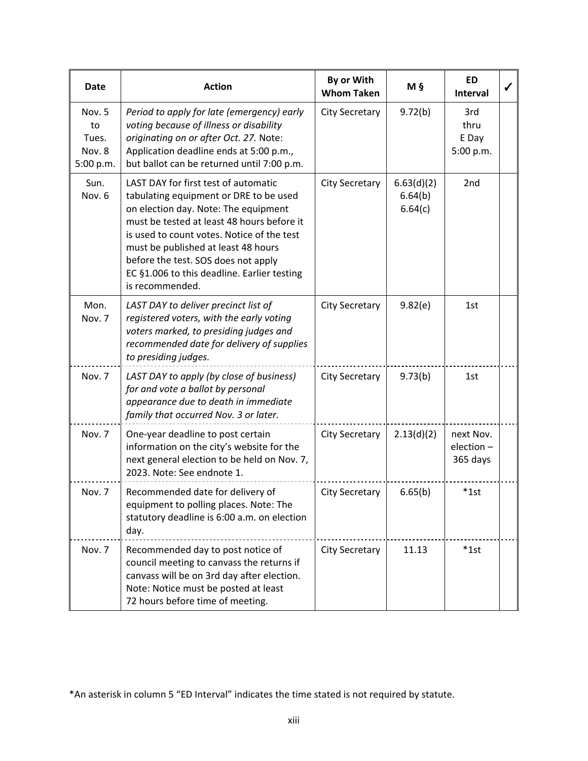| <b>Date</b>                                  | <b>Action</b>                                                                                                                                                                                                                                                                                                                                                      | By or With<br><b>Whom Taken</b> | M §                              | <b>ED</b><br>Interval              |  |
|----------------------------------------------|--------------------------------------------------------------------------------------------------------------------------------------------------------------------------------------------------------------------------------------------------------------------------------------------------------------------------------------------------------------------|---------------------------------|----------------------------------|------------------------------------|--|
| Nov. 5<br>to<br>Tues.<br>Nov. 8<br>5:00 p.m. | Period to apply for late (emergency) early<br>voting because of illness or disability<br>originating on or after Oct. 27. Note:<br>Application deadline ends at 5:00 p.m.,<br>but ballot can be returned until 7:00 p.m.                                                                                                                                           | <b>City Secretary</b>           | 9.72(b)                          | 3rd<br>thru<br>E Day<br>5:00 p.m.  |  |
| Sun.<br>Nov. 6                               | LAST DAY for first test of automatic<br>tabulating equipment or DRE to be used<br>on election day. Note: The equipment<br>must be tested at least 48 hours before it<br>is used to count votes. Notice of the test<br>must be published at least 48 hours<br>before the test. SOS does not apply<br>EC §1.006 to this deadline. Earlier testing<br>is recommended. | <b>City Secretary</b>           | 6.63(d)(2)<br>6.64(b)<br>6.64(c) | 2 <sub>nd</sub>                    |  |
| Mon.<br>Nov. 7                               | LAST DAY to deliver precinct list of<br>registered voters, with the early voting<br>voters marked, to presiding judges and<br>recommended date for delivery of supplies<br>to presiding judges.                                                                                                                                                                    | <b>City Secretary</b>           | 9.82(e)                          | 1st                                |  |
| Nov. 7                                       | LAST DAY to apply (by close of business)<br>for and vote a ballot by personal<br>appearance due to death in immediate<br>family that occurred Nov. 3 or later.                                                                                                                                                                                                     | <b>City Secretary</b>           | 9.73(b)                          | 1st                                |  |
| Nov. 7                                       | One-year deadline to post certain<br>information on the city's website for the<br>next general election to be held on Nov. 7,<br>2023. Note: See endnote 1.                                                                                                                                                                                                        | <b>City Secretary</b>           | 2.13(d)(2)                       | next Nov.<br>election-<br>365 days |  |
| Nov. 7                                       | Recommended date for delivery of<br>equipment to polling places. Note: The<br>statutory deadline is 6:00 a.m. on election<br>day.                                                                                                                                                                                                                                  | <b>City Secretary</b>           | 6.65(b)                          | $*1st$                             |  |
| Nov. 7                                       | Recommended day to post notice of<br>council meeting to canvass the returns if<br>canvass will be on 3rd day after election.<br>Note: Notice must be posted at least<br>72 hours before time of meeting.                                                                                                                                                           | City Secretary                  | 11.13                            | $^*1st$                            |  |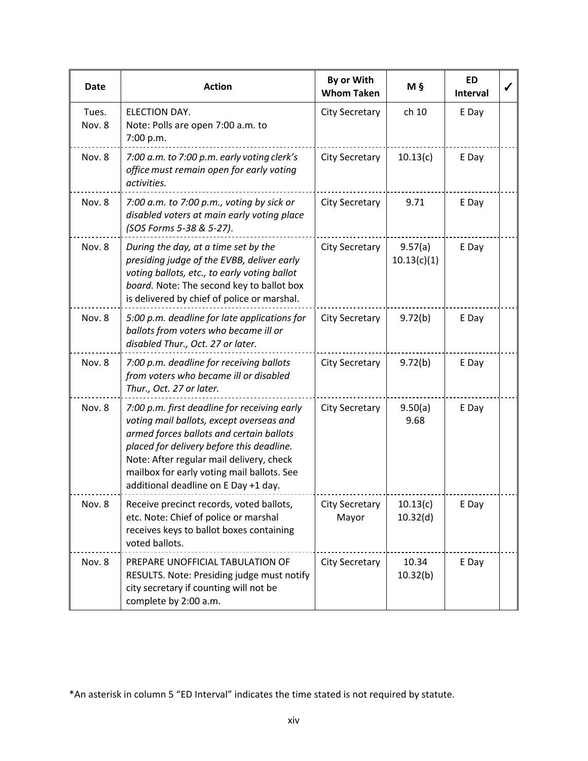| Date            | <b>Action</b>                                                                                                                                                                                                                                                                                                       | By or With<br><b>Whom Taken</b> | Μ§                     | <b>ED</b><br><b>Interval</b> |  |
|-----------------|---------------------------------------------------------------------------------------------------------------------------------------------------------------------------------------------------------------------------------------------------------------------------------------------------------------------|---------------------------------|------------------------|------------------------------|--|
| Tues.<br>Nov. 8 | ELECTION DAY.<br>Note: Polls are open 7:00 a.m. to<br>7:00 p.m.                                                                                                                                                                                                                                                     | <b>City Secretary</b>           | ch 10                  | E Day                        |  |
| Nov. 8          | 7:00 a.m. to 7:00 p.m. early voting clerk's<br>office must remain open for early voting<br>activities.                                                                                                                                                                                                              | <b>City Secretary</b>           | 10.13(c)               | E Day                        |  |
| Nov. 8          | 7:00 a.m. to 7:00 p.m., voting by sick or<br>disabled voters at main early voting place<br>(SOS Forms 5-38 & 5-27).                                                                                                                                                                                                 | <b>City Secretary</b>           | 9.71                   | E Day                        |  |
| Nov. 8          | During the day, at a time set by the<br>presiding judge of the EVBB, deliver early<br>voting ballots, etc., to early voting ballot<br>board. Note: The second key to ballot box<br>is delivered by chief of police or marshal.                                                                                      | <b>City Secretary</b>           | 9.57(a)<br>10.13(c)(1) | E Day                        |  |
| Nov. 8          | 5:00 p.m. deadline for late applications for<br>ballots from voters who became ill or<br>disabled Thur., Oct. 27 or later.                                                                                                                                                                                          | <b>City Secretary</b>           | 9.72(b)                | E Day                        |  |
| Nov. 8          | 7:00 p.m. deadline for receiving ballots<br>from voters who became ill or disabled<br>Thur., Oct. 27 or later.                                                                                                                                                                                                      | <b>City Secretary</b>           | 9.72(b)                | E Day                        |  |
| Nov. 8          | 7:00 p.m. first deadline for receiving early<br>voting mail ballots, except overseas and<br>armed forces ballots and certain ballots<br>placed for delivery before this deadline.<br>Note: After regular mail delivery, check<br>mailbox for early voting mail ballots. See<br>additional deadline on E Day +1 day. | <b>City Secretary</b>           | 9.50(a)<br>9.68        | E Day                        |  |
| Nov. 8          | Receive precinct records, voted ballots,<br>etc. Note: Chief of police or marshal<br>receives keys to ballot boxes containing<br>voted ballots.                                                                                                                                                                     | <b>City Secretary</b><br>Mayor  | 10.13(c)<br>10.32(d)   | E Day                        |  |
| Nov. 8          | PREPARE UNOFFICIAL TABULATION OF<br>RESULTS. Note: Presiding judge must notify<br>city secretary if counting will not be<br>complete by 2:00 a.m.                                                                                                                                                                   | <b>City Secretary</b>           | 10.34<br>10.32(b)      | E Day                        |  |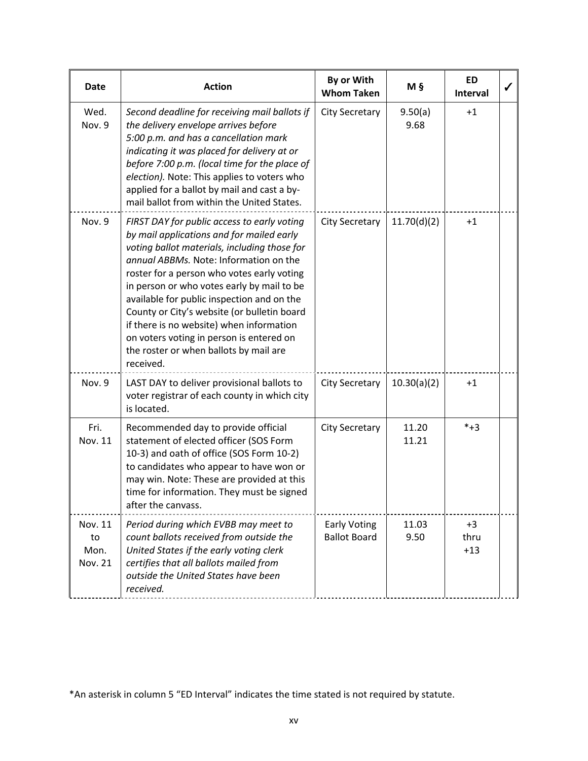| Date                             | <b>Action</b>                                                                                                                                                                                                                                                                                                                                                                                                                                                                                                              | By or With<br><b>Whom Taken</b>            | M §             | <b>ED</b><br><b>Interval</b> |  |
|----------------------------------|----------------------------------------------------------------------------------------------------------------------------------------------------------------------------------------------------------------------------------------------------------------------------------------------------------------------------------------------------------------------------------------------------------------------------------------------------------------------------------------------------------------------------|--------------------------------------------|-----------------|------------------------------|--|
| Wed.<br>Nov. 9                   | Second deadline for receiving mail ballots if<br>the delivery envelope arrives before<br>5:00 p.m. and has a cancellation mark<br>indicating it was placed for delivery at or<br>before 7:00 p.m. (local time for the place of<br>election). Note: This applies to voters who<br>applied for a ballot by mail and cast a by-<br>mail ballot from within the United States.                                                                                                                                                 | <b>City Secretary</b>                      | 9.50(a)<br>9.68 | $+1$                         |  |
| Nov. 9                           | FIRST DAY for public access to early voting<br>by mail applications and for mailed early<br>voting ballot materials, including those for<br>annual ABBMs. Note: Information on the<br>roster for a person who votes early voting<br>in person or who votes early by mail to be<br>available for public inspection and on the<br>County or City's website (or bulletin board<br>if there is no website) when information<br>on voters voting in person is entered on<br>the roster or when ballots by mail are<br>received. | <b>City Secretary</b>                      | 11.70(d)(2)     | $+1$                         |  |
| Nov. 9                           | LAST DAY to deliver provisional ballots to<br>voter registrar of each county in which city<br>is located.                                                                                                                                                                                                                                                                                                                                                                                                                  | <b>City Secretary</b>                      | 10.30(a)(2)     | $+1$                         |  |
| Fri.<br>Nov. 11                  | Recommended day to provide official<br>statement of elected officer (SOS Form<br>10-3) and oath of office (SOS Form 10-2)<br>to candidates who appear to have won or<br>may win. Note: These are provided at this<br>time for information. They must be signed<br>after the canvass.                                                                                                                                                                                                                                       | <b>City Secretary</b>                      | 11.20<br>11.21  | $*+3$                        |  |
| Nov. 11<br>to<br>Mon.<br>Nov. 21 | Period during which EVBB may meet to<br>count ballots received from outside the<br>United States if the early voting clerk<br>certifies that all ballots mailed from<br>outside the United States have been<br>received.                                                                                                                                                                                                                                                                                                   | <b>Early Voting</b><br><b>Ballot Board</b> | 11.03<br>9.50   | $+3$<br>thru<br>$+13$        |  |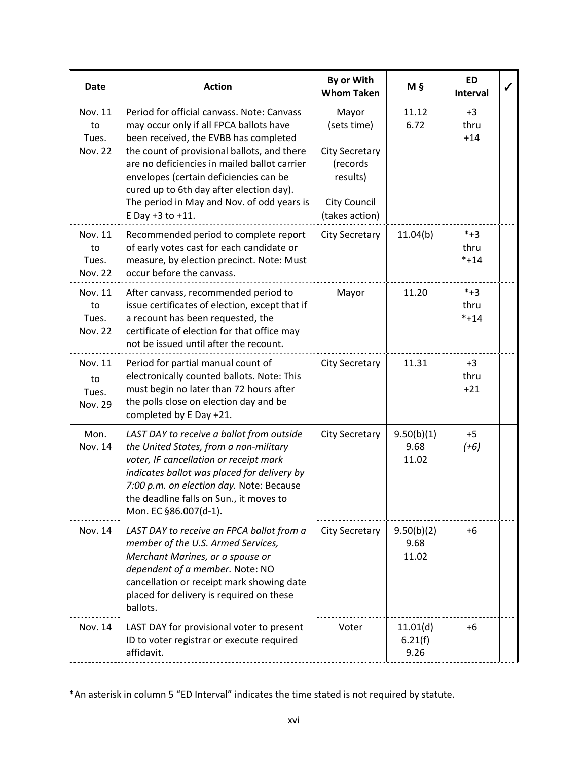| <b>Date</b>                              | <b>Action</b>                                                                                                                                                                                                                                                                                                                                                                         | By or With<br><b>Whom Taken</b>                                                                                | M §                         | <b>ED</b><br>Interval   | ✔ |
|------------------------------------------|---------------------------------------------------------------------------------------------------------------------------------------------------------------------------------------------------------------------------------------------------------------------------------------------------------------------------------------------------------------------------------------|----------------------------------------------------------------------------------------------------------------|-----------------------------|-------------------------|---|
| Nov. 11<br>to<br>Tues.<br><b>Nov. 22</b> | Period for official canvass. Note: Canvass<br>may occur only if all FPCA ballots have<br>been received, the EVBB has completed<br>the count of provisional ballots, and there<br>are no deficiencies in mailed ballot carrier<br>envelopes (certain deficiencies can be<br>cured up to 6th day after election day).<br>The period in May and Nov. of odd years is<br>E Day +3 to +11. | Mayor<br>(sets time)<br><b>City Secretary</b><br>(records<br>results)<br><b>City Council</b><br>(takes action) | 11.12<br>6.72               | $+3$<br>thru<br>$+14$   |   |
| Nov. 11<br>to<br>Tues.<br><b>Nov. 22</b> | Recommended period to complete report<br>of early votes cast for each candidate or<br>measure, by election precinct. Note: Must<br>occur before the canvass.                                                                                                                                                                                                                          | <b>City Secretary</b>                                                                                          | 11.04(b)                    | $*+3$<br>thru<br>$*+14$ |   |
| Nov. 11<br>to<br>Tues.<br><b>Nov. 22</b> | After canvass, recommended period to<br>issue certificates of election, except that if<br>a recount has been requested, the<br>certificate of election for that office may<br>not be issued until after the recount.                                                                                                                                                                  | Mayor                                                                                                          | 11.20                       | $*+3$<br>thru<br>$*+14$ |   |
| Nov. 11<br>to<br>Tues.<br>Nov. 29        | Period for partial manual count of<br>electronically counted ballots. Note: This<br>must begin no later than 72 hours after<br>the polls close on election day and be<br>completed by E Day +21.                                                                                                                                                                                      | <b>City Secretary</b>                                                                                          | 11.31                       | $+3$<br>thru<br>$+21$   |   |
| Mon.<br>Nov. 14                          | LAST DAY to receive a ballot from outside<br>the United States, from a non-military<br>voter, IF cancellation or receipt mark<br>indicates ballot was placed for delivery by<br>7:00 p.m. on election day. Note: Because<br>the deadline falls on Sun., it moves to<br>Mon. EC §86.007(d-1).                                                                                          | <b>City Secretary</b>                                                                                          | 9.50(b)(1)<br>9.68<br>11.02 | $+5$<br>$(+6)$          |   |
| Nov. 14                                  | LAST DAY to receive an FPCA ballot from a<br>member of the U.S. Armed Services,<br>Merchant Marines, or a spouse or<br>dependent of a member. Note: NO<br>cancellation or receipt mark showing date<br>placed for delivery is required on these<br>ballots.                                                                                                                           | <b>City Secretary</b>                                                                                          | 9.50(b)(2)<br>9.68<br>11.02 | $+6$                    |   |
| Nov. 14                                  | LAST DAY for provisional voter to present<br>ID to voter registrar or execute required<br>affidavit.                                                                                                                                                                                                                                                                                  | Voter                                                                                                          | 11.01(d)<br>6.21(f)<br>9.26 | +6                      |   |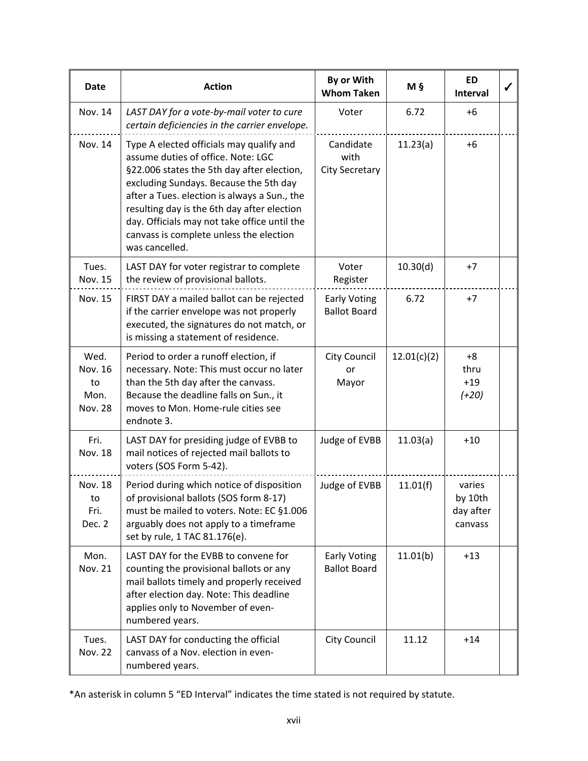| Date                                            | <b>Action</b>                                                                                                                                                                                                                                                                                                                                                                      | By or With<br><b>Whom Taken</b>            | M §         | <b>ED</b><br>Interval                     | ✔ |
|-------------------------------------------------|------------------------------------------------------------------------------------------------------------------------------------------------------------------------------------------------------------------------------------------------------------------------------------------------------------------------------------------------------------------------------------|--------------------------------------------|-------------|-------------------------------------------|---|
| Nov. 14                                         | LAST DAY for a vote-by-mail voter to cure<br>certain deficiencies in the carrier envelope.                                                                                                                                                                                                                                                                                         | Voter                                      | 6.72        | $+6$                                      |   |
| Nov. 14                                         | Type A elected officials may qualify and<br>assume duties of office. Note: LGC<br>§22.006 states the 5th day after election,<br>excluding Sundays. Because the 5th day<br>after a Tues. election is always a Sun., the<br>resulting day is the 6th day after election<br>day. Officials may not take office until the<br>canvass is complete unless the election<br>was cancelled. | Candidate<br>with<br><b>City Secretary</b> | 11.23(a)    | $+6$                                      |   |
| Tues.<br>Nov. 15                                | LAST DAY for voter registrar to complete<br>the review of provisional ballots.                                                                                                                                                                                                                                                                                                     | Voter<br>Register                          | 10.30(d)    | $+7$                                      |   |
| Nov. 15                                         | FIRST DAY a mailed ballot can be rejected<br>if the carrier envelope was not properly<br>executed, the signatures do not match, or<br>is missing a statement of residence.                                                                                                                                                                                                         | <b>Early Voting</b><br><b>Ballot Board</b> | 6.72        | $+7$                                      |   |
| Wed.<br>Nov. 16<br>to<br>Mon.<br><b>Nov. 28</b> | Period to order a runoff election, if<br>necessary. Note: This must occur no later<br>than the 5th day after the canvass.<br>Because the deadline falls on Sun., it<br>moves to Mon. Home-rule cities see<br>endnote 3.                                                                                                                                                            | City Council<br>or<br>Mayor                | 12.01(c)(2) | +8<br>thru<br>$+19$<br>$(+20)$            |   |
| Fri.<br>Nov. 18                                 | LAST DAY for presiding judge of EVBB to<br>mail notices of rejected mail ballots to<br>voters (SOS Form 5-42).                                                                                                                                                                                                                                                                     | Judge of EVBB                              | 11.03(a)    | $+10$                                     |   |
| Nov. 18<br>to<br>Fri.<br>Dec. 2                 | Period during which notice of disposition<br>of provisional ballots (SOS form 8-17)<br>must be mailed to voters. Note: EC §1.006<br>arguably does not apply to a timeframe<br>set by rule, 1 TAC 81.176(e).                                                                                                                                                                        | Judge of EVBB                              | 11.01(f)    | varies<br>by 10th<br>day after<br>canvass |   |
| Mon.<br><b>Nov. 21</b>                          | LAST DAY for the EVBB to convene for<br>counting the provisional ballots or any<br>mail ballots timely and properly received<br>after election day. Note: This deadline<br>applies only to November of even-<br>numbered years.                                                                                                                                                    | <b>Early Voting</b><br><b>Ballot Board</b> | 11.01(b)    | $+13$                                     |   |
| Tues.<br><b>Nov. 22</b>                         | LAST DAY for conducting the official<br>canvass of a Nov. election in even-<br>numbered years.                                                                                                                                                                                                                                                                                     | <b>City Council</b>                        | 11.12       | $+14$                                     |   |

<sup>\*</sup>An asterisk in column 5 "ED Interval" indicates the time stated is not required by statute.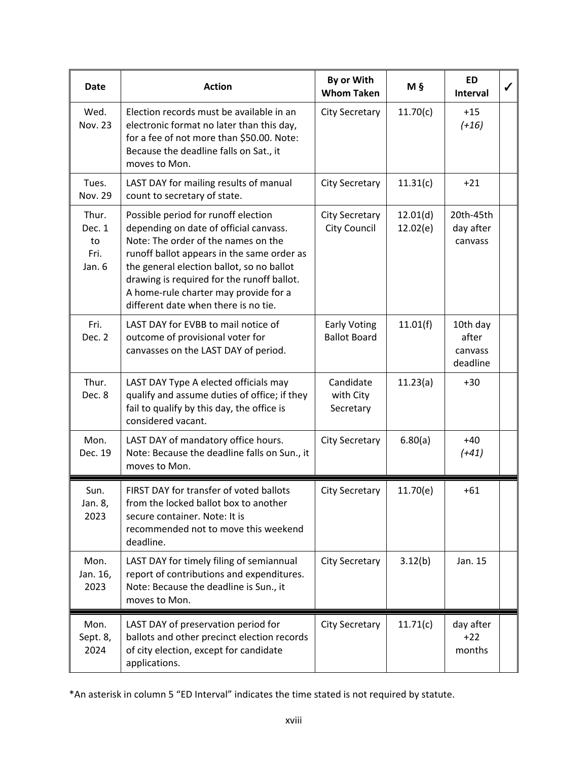| Date                                      | <b>Action</b>                                                                                                                                                                                                                                                                                                                                  | By or With<br><b>Whom Taken</b>            | M §                  | <b>ED</b><br><b>Interval</b>             |  |
|-------------------------------------------|------------------------------------------------------------------------------------------------------------------------------------------------------------------------------------------------------------------------------------------------------------------------------------------------------------------------------------------------|--------------------------------------------|----------------------|------------------------------------------|--|
| Wed.<br><b>Nov. 23</b>                    | Election records must be available in an<br>electronic format no later than this day,<br>for a fee of not more than \$50.00. Note:<br>Because the deadline falls on Sat., it<br>moves to Mon.                                                                                                                                                  | <b>City Secretary</b>                      | 11.70(c)             | $+15$<br>$(+16)$                         |  |
| Tues.<br><b>Nov. 29</b>                   | LAST DAY for mailing results of manual<br>count to secretary of state.                                                                                                                                                                                                                                                                         | <b>City Secretary</b>                      | 11.31(c)             | $+21$                                    |  |
| Thur.<br>Dec. 1<br>to<br>Fri.<br>Jan. $6$ | Possible period for runoff election<br>depending on date of official canvass.<br>Note: The order of the names on the<br>runoff ballot appears in the same order as<br>the general election ballot, so no ballot<br>drawing is required for the runoff ballot.<br>A home-rule charter may provide for a<br>different date when there is no tie. | <b>City Secretary</b><br>City Council      | 12.01(d)<br>12.02(e) | 20th-45th<br>day after<br>canvass        |  |
| Fri.<br>Dec. 2                            | LAST DAY for EVBB to mail notice of<br>outcome of provisional voter for<br>canvasses on the LAST DAY of period.                                                                                                                                                                                                                                | <b>Early Voting</b><br><b>Ballot Board</b> | 11.01(f)             | 10th day<br>after<br>canvass<br>deadline |  |
| Thur.<br>Dec. 8                           | LAST DAY Type A elected officials may<br>qualify and assume duties of office; if they<br>fail to qualify by this day, the office is<br>considered vacant.                                                                                                                                                                                      | Candidate<br>with City<br>Secretary        | 11.23(a)             | $+30$                                    |  |
| Mon.<br>Dec. 19                           | LAST DAY of mandatory office hours.<br>Note: Because the deadline falls on Sun., it<br>moves to Mon.                                                                                                                                                                                                                                           | <b>City Secretary</b>                      | 6.80(a)              | $+40$<br>$(+41)$                         |  |
| Sun.<br>Jan. 8,<br>2023                   | FIRST DAY for transfer of voted ballots<br>from the locked ballot box to another<br>secure container. Note: It is<br>recommended not to move this weekend<br>deadline.                                                                                                                                                                         | <b>City Secretary</b>                      | 11.70(e)             | $+61$                                    |  |
| Mon.<br>Jan. 16,<br>2023                  | LAST DAY for timely filing of semiannual<br>report of contributions and expenditures.<br>Note: Because the deadline is Sun., it<br>moves to Mon.                                                                                                                                                                                               | <b>City Secretary</b>                      | 3.12(b)              | Jan. 15                                  |  |
| Mon.<br>Sept. 8,<br>2024                  | LAST DAY of preservation period for<br>ballots and other precinct election records<br>of city election, except for candidate<br>applications.                                                                                                                                                                                                  | <b>City Secretary</b>                      | 11.71(c)             | day after<br>$+22$<br>months             |  |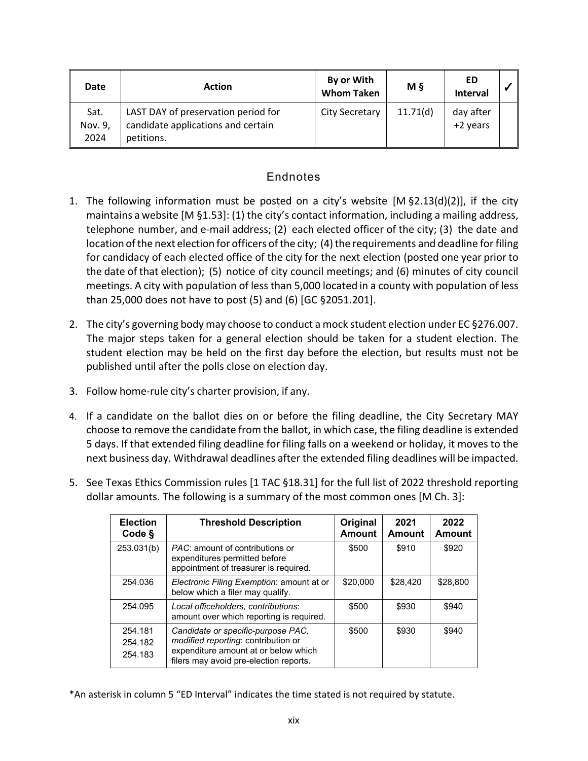| Date                    | <b>Action</b>                                                                           | By or With<br><b>Whom Taken</b> | M <sub>5</sub> | ED<br>Interval        |  |
|-------------------------|-----------------------------------------------------------------------------------------|---------------------------------|----------------|-----------------------|--|
| Sat.<br>Nov. 9,<br>2024 | LAST DAY of preservation period for<br>candidate applications and certain<br>petitions. | City Secretary                  | 11.71(d)       | day after<br>+2 years |  |

## **Endnotes**

- 1. The following information must be posted on a city's website [M §2.13(d)(2)], if the city maintains a website [M §1.53]: (1) the city's contact information, including a mailing address, telephone number, and e‐mail address; (2) each elected officer of the city; (3) the date and location of the next election for officers of the city; (4) the requirements and deadline for filing for candidacy of each elected office of the city for the next election (posted one year prior to the date of that election); (5) notice of city council meetings; and (6) minutes of city council meetings. A city with population of less than 5,000 located in a county with population of less than 25,000 does not have to post (5) and (6) [GC §2051.201].
- 2. The city's governing body may choose to conduct a mock student election under EC §276.007. The major steps taken for a general election should be taken for a student election. The student election may be held on the first day before the election, but results must not be published until after the polls close on election day.
- 3. Follow home‐rule city's charter provision, if any.
- 4. If a candidate on the ballot dies on or before the filing deadline, the City Secretary MAY choose to remove the candidate from the ballot, in which case, the filing deadline is extended 5 days. If that extended filing deadline for filing falls on a weekend or holiday, it moves to the next business day. Withdrawal deadlines after the extended filing deadlines will be impacted.
- 5. See Texas Ethics Commission rules [1 TAC §18.31] for the full list of 2022 threshold reporting dollar amounts. The following is a summary of the most common ones [M Ch. 3]:

| <b>Election</b><br>Code §     | <b>Threshold Description</b>                                                                                                                                       | Original<br><b>Amount</b> | 2021<br><b>Amount</b> | 2022<br><b>Amount</b> |
|-------------------------------|--------------------------------------------------------------------------------------------------------------------------------------------------------------------|---------------------------|-----------------------|-----------------------|
| 253.031(b)                    | <i>PAC</i> : amount of contributions or<br>expenditures permitted before<br>appointment of treasurer is required.                                                  | \$500                     | \$910                 | \$920                 |
| 254.036                       | Electronic Filing Exemption: amount at or<br>below which a filer may qualify.                                                                                      | \$20,000                  | \$28,420              | \$28,800              |
| 254.095                       | Local officeholders, contributions:<br>amount over which reporting is required.                                                                                    | \$500                     | \$930                 | \$940                 |
| 254.181<br>254.182<br>254.183 | Candidate or specific-purpose PAC.<br><i>modified reporting: contribution or</i><br>expenditure amount at or below which<br>filers may avoid pre-election reports. | \$500                     | \$930                 | \$940                 |